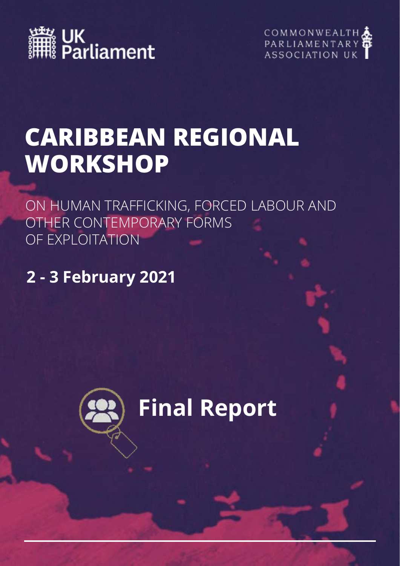



## **CARIBBEAN REGIONAL WORKSHOP**

ON HUMAN TRAFFICKING, FORCED LABOUR AND OTHER CONTEMPORARY FORMS OF EXPLOITATION

**2 - 3 February 2021**

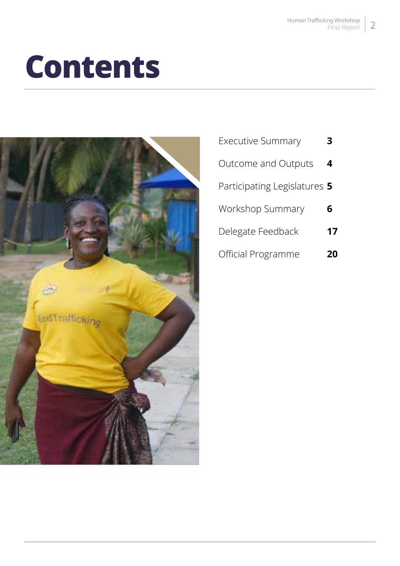## **Contents**



| <b>Executive Summary</b>     |    |
|------------------------------|----|
| Outcome and Outputs          | 4  |
| Participating Legislatures 5 |    |
| Workshop Summary             | 6  |
| Delegate Feedback            | 17 |
| Official Programme           |    |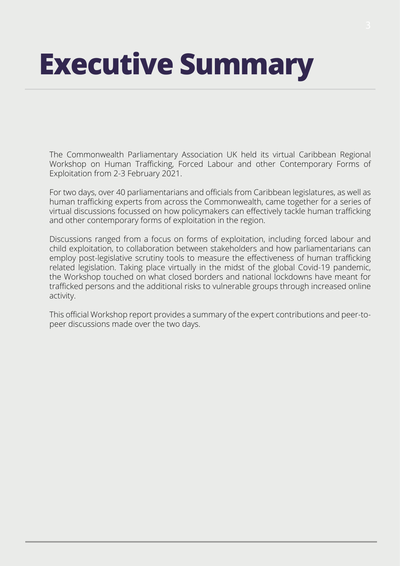# **Executive Summary**

The Commonwealth Parliamentary Association UK held its virtual Caribbean Regional Workshop on Human Trafficking, Forced Labour and other Contemporary Forms of Exploitation from 2-3 February 2021.

For two days, over 40 parliamentarians and officials from Caribbean legislatures, as well as human trafficking experts from across the Commonwealth, came together for a series of virtual discussions focussed on how policymakers can effectively tackle human trafficking and other contemporary forms of exploitation in the region.

Discussions ranged from a focus on forms of exploitation, including forced labour and child exploitation, to collaboration between stakeholders and how parliamentarians can employ post-legislative scrutiny tools to measure the effectiveness of human trafficking related legislation. Taking place virtually in the midst of the global Covid-19 pandemic, the Workshop touched on what closed borders and national lockdowns have meant for trafficked persons and the additional risks to vulnerable groups through increased online activity.

This official Workshop report provides a summary of the expert contributions and peer-topeer discussions made over the two days.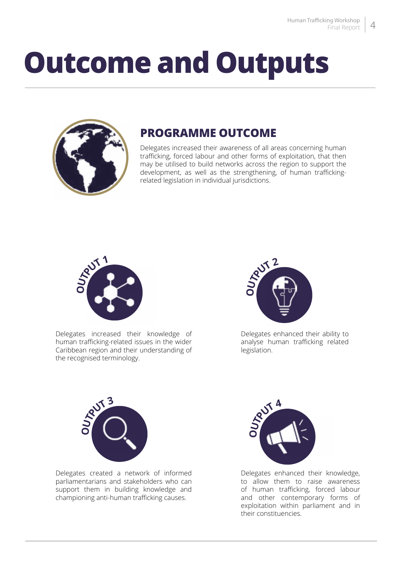## **Outcome and Outputs**



## **PROGRAMME OUTCOME**

Delegates increased their awareness of all areas concerning human trafficking, forced labour and other forms of exploitation, that then may be utilised to build networks across the region to support the development, as well as the strengthening, of human traffickingrelated legislation in individual jurisdictions.



Delegates increased their knowledge of human trafficking-related issues in the wider Caribbean region and their understanding of the recognised terminology.



Delegates enhanced their ability to analyse human trafficking related legislation.



Delegates created a network of informed parliamentarians and stakeholders who can support them in building knowledge and championing anti-human trafficking causes.



Delegates enhanced their knowledge, to allow them to raise awareness of human trafficking, forced labour and other contemporary forms of exploitation within parliament and in their constituencies.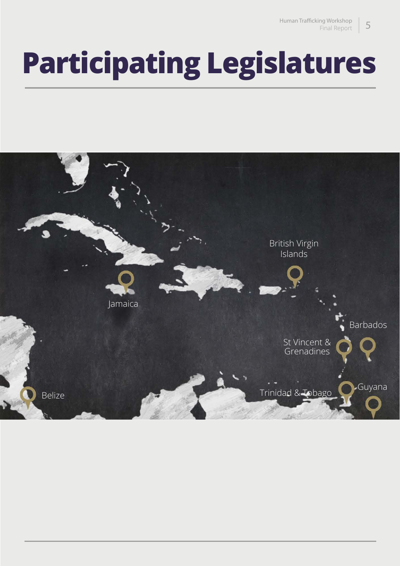## **Participating Legislatures**

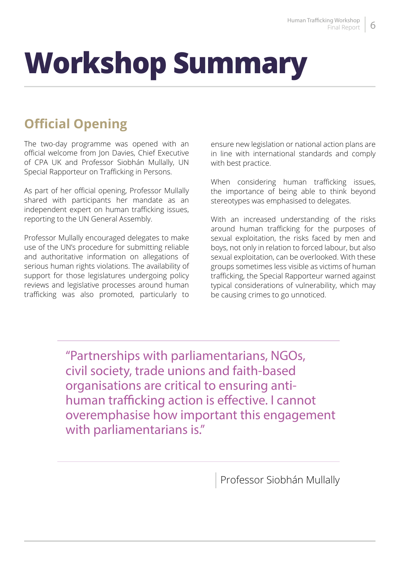# **Workshop Summary**

## **Official Opening**

The two-day programme was opened with an official welcome from Jon Davies, Chief Executive of CPA UK and Professor Siobhán Mullally, UN Special Rapporteur on Trafficking in Persons.

As part of her official opening, Professor Mullally shared with participants her mandate as an independent expert on human trafficking issues, reporting to the UN General Assembly.

Professor Mullally encouraged delegates to make use of the UN's procedure for submitting reliable and authoritative information on allegations of serious human rights violations. The availability of support for those legislatures undergoing policy reviews and legislative processes around human trafficking was also promoted, particularly to

ensure new legislation or national action plans are in line with international standards and comply with best practice.

When considering human trafficking issues, the importance of being able to think beyond stereotypes was emphasised to delegates.

With an increased understanding of the risks around human trafficking for the purposes of sexual exploitation, the risks faced by men and boys, not only in relation to forced labour, but also sexual exploitation, can be overlooked. With these groups sometimes less visible as victims of human trafficking, the Special Rapporteur warned against typical considerations of vulnerability, which may be causing crimes to go unnoticed.

"Partnerships with parliamentarians, NGOs, civil society, trade unions and faith-based organisations are critical to ensuring antihuman trafficking action is effective. I cannot overemphasise how important this engagement with parliamentarians is."

Professor Siobhán Mullally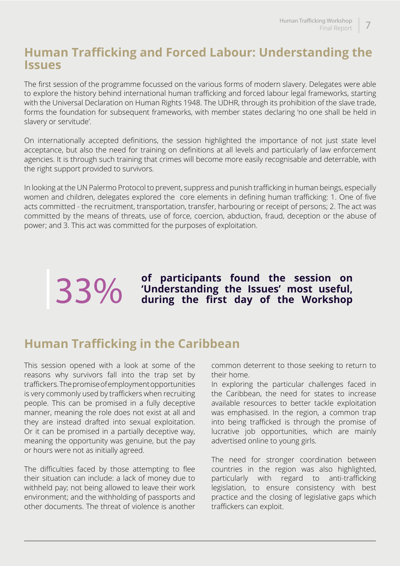### **Human Trafficking and Forced Labour: Understanding the Issues**

The first session of the programme focussed on the various forms of modern slavery. Delegates were able to explore the history behind international human trafficking and forced labour legal frameworks, starting with the Universal Declaration on Human Rights 1948. The UDHR, through its prohibition of the slave trade, forms the foundation for subsequent frameworks, with member states declaring 'no one shall be held in slavery or servitude'.

On internationally accepted definitions, the session highlighted the importance of not just state level acceptance, but also the need for training on definitions at all levels and particularly of law enforcement agencies. It is through such training that crimes will become more easily recognisable and deterrable, with the right support provided to survivors.

In looking at the UN Palermo Protocol to prevent, suppress and punish trafficking in human beings, especially women and children, delegates explored the core elements in defining human trafficking: 1. One of five acts committed - the recruitment, transportation, transfer, harbouring or receipt of persons; 2. The act was committed by the means of threats, use of force, coercion, abduction, fraud, deception or the abuse of power; and 3. This act was committed for the purposes of exploitation.

**33%** of participants found the session on <br> **33%** Understanding the Issues' most useful,<br>
during the first day of the Workshop

## **Human Trafficking in the Caribbean**

This session opened with a look at some of the reasons why survivors fall into the trap set by traffickers. The promise of employment opportunities is very commonly used by traffickers when recruiting people. This can be promised in a fully deceptive manner, meaning the role does not exist at all and they are instead drafted into sexual exploitation. Or it can be promised in a partially deceptive way, meaning the opportunity was genuine, but the pay or hours were not as initially agreed.

The difficulties faced by those attempting to flee their situation can include: a lack of money due to withheld pay; not being allowed to leave their work environment; and the withholding of passports and other documents. The threat of violence is another

common deterrent to those seeking to return to their home.

In exploring the particular challenges faced in the Caribbean, the need for states to increase available resources to better tackle exploitation was emphasised. In the region, a common trap into being trafficked is through the promise of lucrative job opportunities, which are mainly advertised online to young girls.

The need for stronger coordination between countries in the region was also highlighted, particularly with regard to anti-trafficking legislation, to ensure consistency with best practice and the closing of legislative gaps which traffickers can exploit.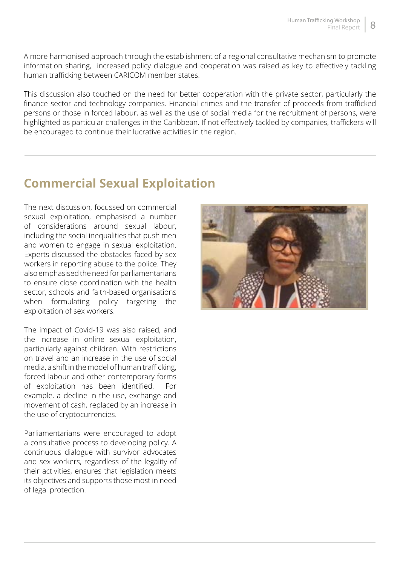A more harmonised approach through the establishment of a regional consultative mechanism to promote information sharing, increased policy dialogue and cooperation was raised as key to effectively tackling human trafficking between CARICOM member states.

This discussion also touched on the need for better cooperation with the private sector, particularly the finance sector and technology companies. Financial crimes and the transfer of proceeds from trafficked persons or those in forced labour, as well as the use of social media for the recruitment of persons, were highlighted as particular challenges in the Caribbean. If not effectively tackled by companies, traffickers will be encouraged to continue their lucrative activities in the region.

## **Commercial Sexual Exploitation**

The next discussion, focussed on commercial sexual exploitation, emphasised a number of considerations around sexual labour, including the social inequalities that push men and women to engage in sexual exploitation. Experts discussed the obstacles faced by sex workers in reporting abuse to the police. They also emphasised the need for parliamentarians to ensure close coordination with the health sector, schools and faith-based organisations when formulating policy targeting the exploitation of sex workers.

The impact of Covid-19 was also raised, and the increase in online sexual exploitation, particularly against children. With restrictions on travel and an increase in the use of social media, a shift in the model of human trafficking, forced labour and other contemporary forms of exploitation has been identified. For example, a decline in the use, exchange and movement of cash, replaced by an increase in the use of cryptocurrencies.

Parliamentarians were encouraged to adopt a consultative process to developing policy. A continuous dialogue with survivor advocates and sex workers, regardless of the legality of their activities, ensures that legislation meets its objectives and supports those most in need of legal protection.

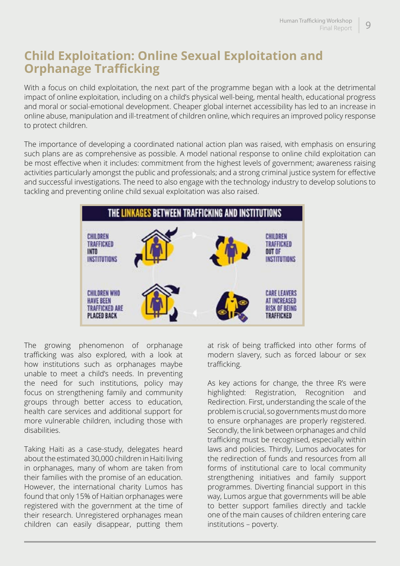## **Child Exploitation: Online Sexual Exploitation and Orphanage Trafficking**

With a focus on child exploitation, the next part of the programme began with a look at the detrimental impact of online exploitation, including on a child's physical well-being, mental health, educational progress and moral or social-emotional development. Cheaper global internet accessibility has led to an increase in online abuse, manipulation and ill-treatment of children online, which requires an improved policy response to protect children.

The importance of developing a coordinated national action plan was raised, with emphasis on ensuring such plans are as comprehensive as possible. A model national response to online child exploitation can be most effective when it includes: commitment from the highest levels of government; awareness raising activities particularly amongst the public and professionals; and a strong criminal justice system for effective and successful investigations. The need to also engage with the technology industry to develop solutions to tackling and preventing online child sexual exploitation was also raised.



The growing phenomenon of orphanage trafficking was also explored, with a look at how institutions such as orphanages maybe unable to meet a child's needs. In preventing the need for such institutions, policy may focus on strengthening family and community groups through better access to education, health care services and additional support for more vulnerable children, including those with disabilities.

Taking Haiti as a case-study, delegates heard about the estimated 30,000 children in Haiti living in orphanages, many of whom are taken from their families with the promise of an education. However, the international charity Lumos has found that only 15% of Haitian orphanages were registered with the government at the time of their research. Unregistered orphanages mean children can easily disappear, putting them

at risk of being trafficked into other forms of modern slavery, such as forced labour or sex trafficking.

As key actions for change, the three R's were highlighted: Registration, Recognition and Redirection. First, understanding the scale of the problem is crucial, so governments must do more to ensure orphanages are properly registered. Secondly, the link between orphanages and child trafficking must be recognised, especially within laws and policies. Thirdly, Lumos advocates for the redirection of funds and resources from all forms of institutional care to local community strengthening initiatives and family support programmes. Diverting financial support in this way, Lumos argue that governments will be able to better support families directly and tackle one of the main causes of children entering care institutions – poverty.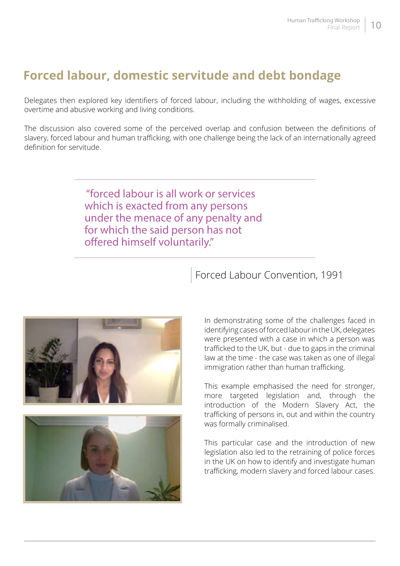## **Forced labour, domestic servitude and debt bondage**

Delegates then explored key identifiers of forced labour, including the withholding of wages, excessive overtime and abusive working and living conditions.

The discussion also covered some of the perceived overlap and confusion between the definitions of slavery, forced labour and human trafficking, with one challenge being the lack of an internationally agreed definition for servitude.

> "forced labour is all work or services which is exacted from any persons under the menace of any penalty and for which the said person has not offered himself voluntarily."





In demonstrating some of the challenges faced in identifying cases of forced labour in the UK, delegates were presented with a case in which a person was trafficked to the UK, but - due to gaps in the criminal law at the time - the case was taken as one of illegal immigration rather than human trafficking.

This example emphasised the need for stronger, more targeted legislation and, through the introduction of the Modern Slavery Act, the trafficking of persons in, out and within the country was formally criminalised.

This particular case and the introduction of new legislation also led to the retraining of police forces in the UK on how to identify and investigate human trafficking, modern slavery and forced labour cases.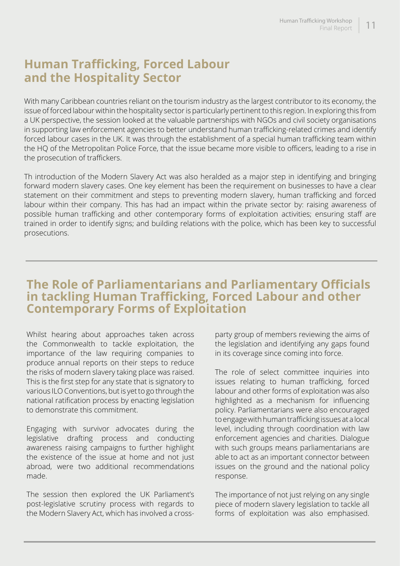## **Human Trafficking, Forced Labour and the Hospitality Sector**

With many Caribbean countries reliant on the tourism industry as the largest contributor to its economy, the issue of forced labour within the hospitality sector is particularly pertinent to this region. In exploring this from a UK perspective, the session looked at the valuable partnerships with NGOs and civil society organisations in supporting law enforcement agencies to better understand human trafficking-related crimes and identify forced labour cases in the UK. It was through the establishment of a special human trafficking team within the HQ of the Metropolitan Police Force, that the issue became more visible to officers, leading to a rise in the prosecution of traffickers.

Th introduction of the Modern Slavery Act was also heralded as a major step in identifying and bringing forward modern slavery cases. One key element has been the requirement on businesses to have a clear statement on their commitment and steps to preventing modern slavery, human trafficking and forced labour within their company. This has had an impact within the private sector by: raising awareness of possible human trafficking and other contemporary forms of exploitation activities; ensuring staff are trained in order to identify signs; and building relations with the police, which has been key to successful prosecutions.

### **The Role of Parliamentarians and Parliamentary Officials in tackling Human Trafficking, Forced Labour and other Contemporary Forms of Exploitation**

Whilst hearing about approaches taken across the Commonwealth to tackle exploitation, the importance of the law requiring companies to produce annual reports on their steps to reduce the risks of modern slavery taking place was raised. This is the first step for any state that is signatory to various ILO Conventions, but is yet to go through the national ratification process by enacting legislation to demonstrate this commitment.

Engaging with survivor advocates during the legislative drafting process and conducting awareness raising campaigns to further highlight the existence of the issue at home and not just abroad, were two additional recommendations made.

The session then explored the UK Parliament's post-legislative scrutiny process with regards to the Modern Slavery Act, which has involved a crossparty group of members reviewing the aims of the legislation and identifying any gaps found in its coverage since coming into force.

The role of select committee inquiries into issues relating to human trafficking, forced labour and other forms of exploitation was also highlighted as a mechanism for influencing policy. Parliamentarians were also encouraged to engage with human trafficking issues at a local level, including through coordination with law enforcement agencies and charities. Dialogue with such groups means parliamentarians are able to act as an important connector between issues on the ground and the national policy response.

The importance of not just relying on any single piece of modern slavery legislation to tackle all forms of exploitation was also emphasised.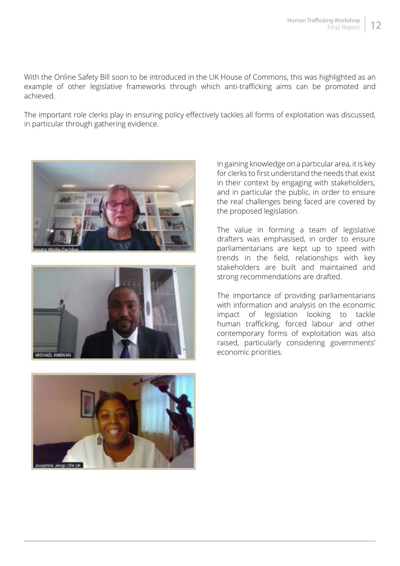With the Online Safety Bill soon to be introduced in the UK House of Commons, this was highlighted as an example of other legislative frameworks through which anti-trafficking aims can be promoted and achieved.

The important role clerks play in ensuring policy effectively tackles all forms of exploitation was discussed, in particular through gathering evidence.







In gaining knowledge on a particular area, it is key for clerks to first understand the needs that exist in their context by engaging with stakeholders, and in particular the public, in order to ensure the real challenges being faced are covered by the proposed legislation.

The value in forming a team of legislative drafters was emphasised, in order to ensure parliamentarians are kept up to speed with trends in the field, relationships with key stakeholders are built and maintained and strong recommendations are drafted.

The importance of providing parliamentarians with information and analysis on the economic impact of legislation looking to tackle human trafficking, forced labour and other contemporary forms of exploitation was also raised, particularly considering governments' economic priorities.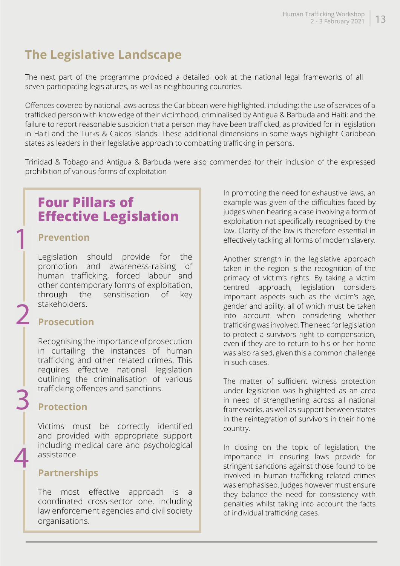## **The Legislative Landscape**

The next part of the programme provided a detailed look at the national legal frameworks of all seven participating legislatures, as well as neighbouring countries.

Offences covered by national laws across the Caribbean were highlighted, including: the use of services of a trafficked person with knowledge of their victimhood, criminalised by Antigua & Barbuda and Haiti; and the failure to report reasonable suspicion that a person may have been trafficked, as provided for in legislation in Haiti and the Turks & Caicos Islands. These additional dimensions in some ways highlight Caribbean states as leaders in their legislative approach to combatting trafficking in persons.

Trinidad & Tobago and Antigua & Barbuda were also commended for their inclusion of the expressed prohibition of various forms of exploitation

## **Four Pillars of Effective Legislation**

#### **Prevention**

1

2

3

4

Legislation should provide for the promotion and awareness-raising of human trafficking, forced labour and other contemporary forms of exploitation, through the sensitisation of key stakeholders.

#### **Prosecution**

Recognising the importance of prosecution in curtailing the instances of human trafficking and other related crimes. This requires effective national legislation outlining the criminalisation of various trafficking offences and sanctions.

#### **Protection**

Victims must be correctly identified and provided with appropriate support including medical care and psychological assistance.

#### **Partnerships**

The most effective approach is a coordinated cross-sector one, including law enforcement agencies and civil society organisations.

In promoting the need for exhaustive laws, an example was given of the difficulties faced by judges when hearing a case involving a form of exploitation not specifically recognised by the law. Clarity of the law is therefore essential in effectively tackling all forms of modern slavery.

Another strength in the legislative approach taken in the region is the recognition of the primacy of victim's rights. By taking a victim centred approach, legislation considers important aspects such as the victim's age, gender and ability, all of which must be taken into account when considering whether trafficking was involved. The need for legislation to protect a survivors right to compensation, even if they are to return to his or her home was also raised, given this a common challenge in such cases.

The matter of sufficient witness protection under legislation was highlighted as an area in need of strengthening across all national frameworks, as well as support between states in the reintegration of survivors in their home country.

In closing on the topic of legislation, the importance in ensuring laws provide for stringent sanctions against those found to be involved in human trafficking related crimes was emphasised. Judges however must ensure they balance the need for consistency with penalties whilst taking into account the facts of individual trafficking cases.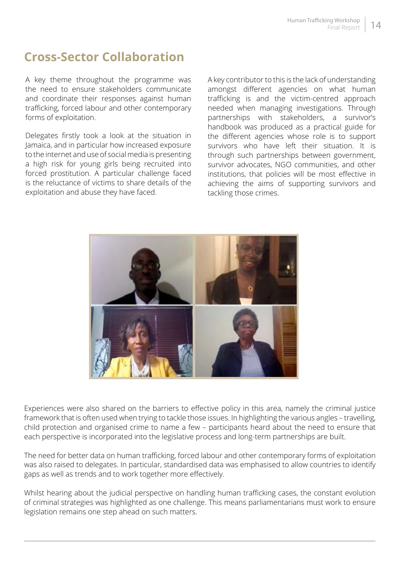## **Cross-Sector Collaboration**

A key theme throughout the programme was the need to ensure stakeholders communicate and coordinate their responses against human trafficking, forced labour and other contemporary forms of exploitation.

Delegates firstly took a look at the situation in Jamaica, and in particular how increased exposure to the internet and use of social media is presenting a high risk for young girls being recruited into forced prostitution. A particular challenge faced is the reluctance of victims to share details of the exploitation and abuse they have faced.

A key contributor to this is the lack of understanding amongst different agencies on what human trafficking is and the victim-centred approach needed when managing investigations. Through partnerships with stakeholders, a survivor's handbook was produced as a practical guide for the different agencies whose role is to support survivors who have left their situation. It is through such partnerships between government, survivor advocates, NGO communities, and other institutions, that policies will be most effective in achieving the aims of supporting survivors and tackling those crimes.



Experiences were also shared on the barriers to effective policy in this area, namely the criminal justice framework that is often used when trying to tackle those issues. In highlighting the various angles – travelling, child protection and organised crime to name a few – participants heard about the need to ensure that each perspective is incorporated into the legislative process and long-term partnerships are built.

The need for better data on human trafficking, forced labour and other contemporary forms of exploitation was also raised to delegates. In particular, standardised data was emphasised to allow countries to identify gaps as well as trends and to work together more effectively.

Whilst hearing about the judicial perspective on handling human trafficking cases, the constant evolution of criminal strategies was highlighted as one challenge. This means parliamentarians must work to ensure legislation remains one step ahead on such matters.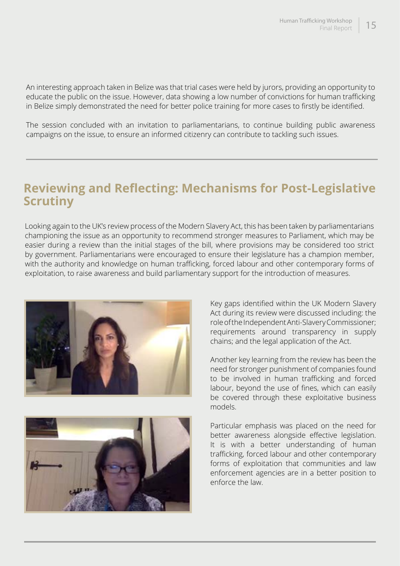An interesting approach taken in Belize was that trial cases were held by jurors, providing an opportunity to educate the public on the issue. However, data showing a low number of convictions for human trafficking in Belize simply demonstrated the need for better police training for more cases to firstly be identified.

The session concluded with an invitation to parliamentarians, to continue building public awareness campaigns on the issue, to ensure an informed citizenry can contribute to tackling such issues.

### **Reviewing and Reflecting: Mechanisms for Post-Legislative Scrutiny**

Looking again to the UK's review process of the Modern Slavery Act, this has been taken by parliamentarians championing the issue as an opportunity to recommend stronger measures to Parliament, which may be easier during a review than the initial stages of the bill, where provisions may be considered too strict by government. Parliamentarians were encouraged to ensure their legislature has a champion member, with the authority and knowledge on human trafficking, forced labour and other contemporary forms of exploitation, to raise awareness and build parliamentary support for the introduction of measures.





Key gaps identified within the UK Modern Slavery Act during its review were discussed including: the role of the Independent Anti-Slavery Commissioner; requirements around transparency in supply chains; and the legal application of the Act.

Another key learning from the review has been the need for stronger punishment of companies found to be involved in human trafficking and forced labour, beyond the use of fines, which can easily be covered through these exploitative business models.

Particular emphasis was placed on the need for better awareness alongside effective legislation. It is with a better understanding of human trafficking, forced labour and other contemporary forms of exploitation that communities and law enforcement agencies are in a better position to enforce the law.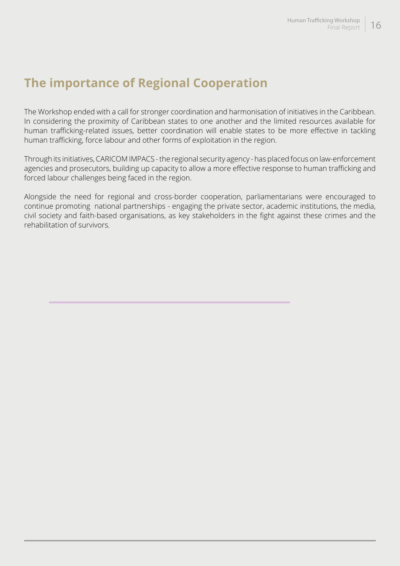## **The importance of Regional Cooperation**

The Workshop ended with a call for stronger coordination and harmonisation of initiatives in the Caribbean. In considering the proximity of Caribbean states to one another and the limited resources available for human trafficking-related issues, better coordination will enable states to be more effective in tackling human trafficking, force labour and other forms of exploitation in the region.

Through its initiatives, CARICOM IMPACS - the regional security agency - has placed focus on law-enforcement agencies and prosecutors, building up capacity to allow a more effective response to human trafficking and forced labour challenges being faced in the region.

Alongside the need for regional and cross-border cooperation, parliamentarians were encouraged to continue promoting national partnerships - engaging the private sector, academic institutions, the media, civil society and faith-based organisations, as key stakeholders in the fight against these crimes and the rehabilitation of survivors.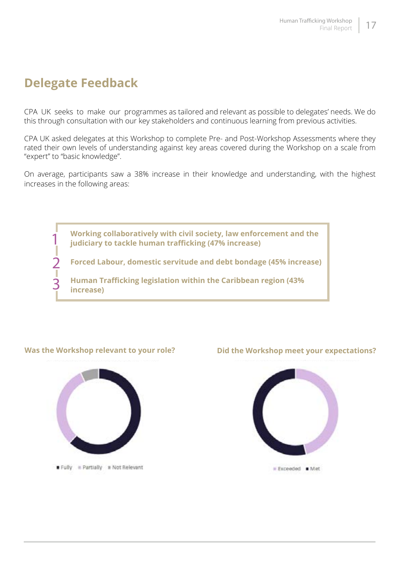## **Delegate Feedback**

1

2

3

CPA UK seeks to make our programmes as tailored and relevant as possible to delegates' needs. We do this through consultation with our key stakeholders and continuous learning from previous activities.

CPA UK asked delegates at this Workshop to complete Pre- and Post-Workshop Assessments where they rated their own levels of understanding against key areas covered during the Workshop on a scale from "expert" to "basic knowledge".

On average, participants saw a 38% increase in their knowledge and understanding, with the highest increases in the following areas:

> **Working collaboratively with civil society, law enforcement and the judiciary to tackle human trafficking (47% increase)**

**Forced Labour, domestic servitude and debt bondage (45% increase)**

**Human Trafficking legislation within the Caribbean region (43% increase)**

#### **Was the Workshop relevant to your role? Did the Workshop meet your expectations?**



Fully # Partially # Not Relevant

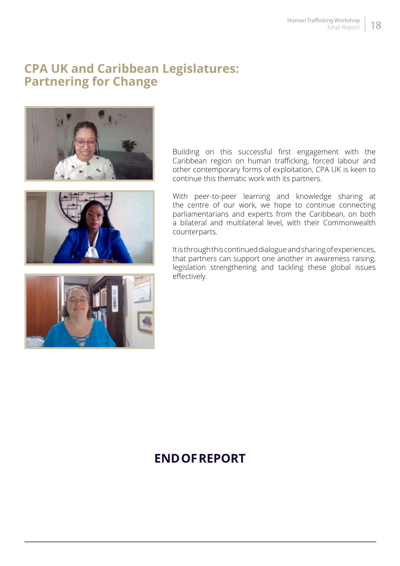### **CPA UK and Caribbean Legislatures: Partnering for Change**





With peer-to-peer learning and knowledge sharing at the centre of our work, we hope to continue connecting parliamentarians and experts from the Caribbean, on both a bilateral and multilateral level, with their Commonwealth counterparts.

Building on this successful first engagement with the Caribbean region on human trafficking, forced labour and other contemporary forms of exploitation, CPA UK is keen to

continue this thematic work with its partners.

It is through this continued dialogue and sharing of experiences, that partners can support one another in awareness raising, legislation strengthening and tackling these global issues effectively.



## **END OF REPORT**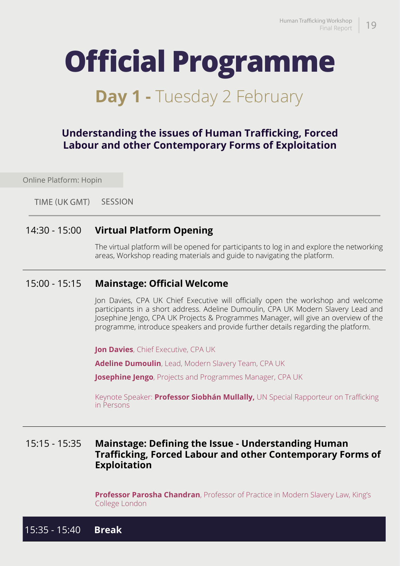## **Official Programme**

## **Day 1 - Tuesday 2 February**

#### **Understanding the issues of Human Trafficking, Forced Labour and other Contemporary Forms of Exploitation**

Online Platform: Hopin

 SESSION TIME (UK GMT)

#### 14:30 - 15:00 **Virtual Platform Opening**

The virtual platform will be opened for participants to log in and explore the networking areas, Workshop reading materials and guide to navigating the platform.

#### 15:00 - 15:15 **Mainstage: Official Welcome**

Jon Davies, CPA UK Chief Executive will officially open the workshop and welcome participants in a short address. Adeline Dumoulin, CPA UK Modern Slavery Lead and Josephine Jengo, CPA UK Projects & Programmes Manager, will give an overview of the programme, introduce speakers and provide further details regarding the platform.

**Jon Davies**, Chief Executive, CPA UK

**Adeline Dumoulin**, Lead, Modern Slavery Team, CPA UK

**Josephine Jengo**, Projects and Programmes Manager, CPA UK

Keynote Speaker: **Professor Siobhán Mullally,** UN Special Rapporteur on Trafficking in Persons

#### 15:15 - 15:35 **Mainstage: Defining the Issue - Understanding Human Trafficking, Forced Labour and other Contemporary Forms of Exploitation**

**Professor Parosha Chandran**, Professor of Practice in Modern Slavery Law, King's College London

15:35 - 15:40 **Break**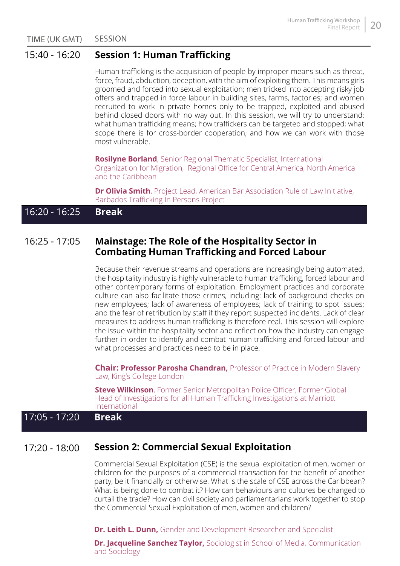SESSION TIME (UK GMT)

#### 15:40 - 16:20 **Session 1: Human Trafficking**

Human trafficking is the acquisition of people by improper means such as threat, force, fraud, abduction, deception, with the aim of exploiting them. This means girls groomed and forced into sexual exploitation; men tricked into accepting risky job offers and trapped in force labour in building sites, farms, factories; and women recruited to work in private homes only to be trapped, exploited and abused behind closed doors with no way out. In this session, we will try to understand: what human trafficking means; how traffickers can be targeted and stopped; what scope there is for cross-border cooperation; and how we can work with those most vulnerable.

**Rosilyne Borland**, Senior Regional Thematic Specialist, International Organization for Migration, Regional Office for Central America, North America and the Caribbean

**Dr Olivia Smith**, Project Lead, American Bar Association Rule of Law Initiative, Barbados Trafficking In Persons Project

#### 16:20 - 16:25 **Break**

#### 16:25 - 17:05 **Mainstage: The Role of the Hospitality Sector in Combating Human Trafficking and Forced Labour**

Because their revenue streams and operations are increasingly being automated, the hospitality industry is highly vulnerable to human trafficking, forced labour and other contemporary forms of exploitation. Employment practices and corporate culture can also facilitate those crimes, including: lack of background checks on new employees; lack of awareness of employees; lack of training to spot issues; and the fear of retribution by staff if they report suspected incidents. Lack of clear measures to address human trafficking is therefore real. This session will explore the issue within the hospitality sector and reflect on how the industry can engage further in order to identify and combat human trafficking and forced labour and what processes and practices need to be in place.

**Chair: Professor Parosha Chandran,** Professor of Practice in Modern Slavery Law, King's College London

**Steve Wilkinson**, Former Senior Metropolitan Police Officer, Former Global Head of Investigations for all Human Trafficking Investigations at Marriott International

#### 17:05 - 17:20 **Break**

#### 17:20 - 18:00 **Session 2: Commercial Sexual Exploitation**

Commercial Sexual Exploitation (CSE) is the sexual exploitation of men, women or children for the purposes of a commercial transaction for the benefit of another party, be it financially or otherwise. What is the scale of CSE across the Caribbean? What is being done to combat it? How can behaviours and cultures be changed to curtail the trade? How can civil society and parliamentarians work together to stop the Commercial Sexual Exploitation of men, women and children?

**Dr. Leith L. Dunn,** Gender and Development Researcher and Specialist

**Dr. Jacqueline Sanchez Taylor,** Sociologist in School of Media, Communication and Sociology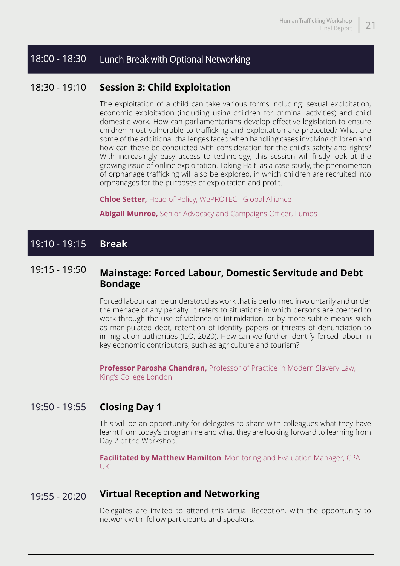#### 18:00 - 18:30 Lunch Break with Optional Networking

#### 18:30 - 19:10 **Session 3: Child Exploitation**

The exploitation of a child can take various forms including: sexual exploitation, economic exploitation (including using children for criminal activities) and child domestic work. How can parliamentarians develop effective legislation to ensure children most vulnerable to trafficking and exploitation are protected? What are some of the additional challenges faced when handling cases involving children and how can these be conducted with consideration for the child's safety and rights? With increasingly easy access to technology, this session will firstly look at the growing issue of online exploitation. Taking Haiti as a case-study, the phenomenon of orphanage trafficking will also be explored, in which children are recruited into orphanages for the purposes of exploitation and profit.

**Chloe Setter,** Head of Policy, WePROTECT Global Alliance

**Abigail Munroe,** Senior Advocacy and Campaigns Officer, Lumos

#### 19:10 - 19:15 **Break**

#### 19:15 - 19:50 **Mainstage: Forced Labour, Domestic Servitude and Debt Bondage**

Forced labour can be understood as work that is performed involuntarily and under the menace of any penalty. It refers to situations in which persons are coerced to work through the use of violence or intimidation, or by more subtle means such as manipulated debt, retention of identity papers or threats of denunciation to immigration authorities (ILO, 2020). How can we further identify forced labour in key economic contributors, such as agriculture and tourism?

**Professor Parosha Chandran, Professor of Practice in Modern Slavery Law,** King's College London

#### 19:50 - 19:55 **Closing Day 1**

This will be an opportunity for delegates to share with colleagues what they have learnt from today's programme and what they are looking forward to learning from Day 2 of the Workshop.

**Facilitated by Matthew Hamilton**, Monitoring and Evaluation Manager, CPA UK

#### 19:55 - 20:20 **Virtual Reception and Networking**

Delegates are invited to attend this virtual Reception, with the opportunity to network with fellow participants and speakers.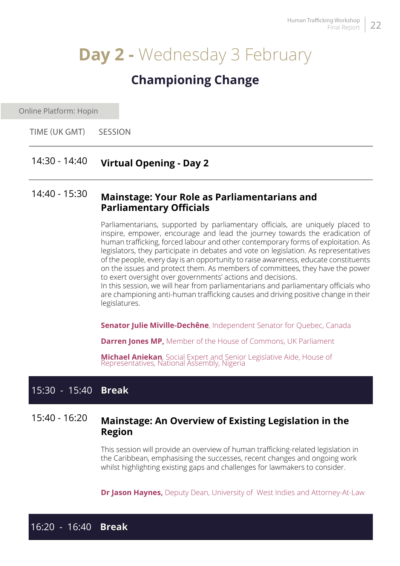## **Day 2 -** Wednesday 3 February

### **Championing Change**

Online Platform: Hopin

**SESSION** TIME (UK GMT)

#### 14:30 - 14:40 **Virtual Opening - Day 2**

#### 14:40 - 15:30 **Mainstage: Your Role as Parliamentarians and Parliamentary Officials**

Parliamentarians, supported by parliamentary officials, are uniquely placed to inspire, empower, encourage and lead the journey towards the eradication of human trafficking, forced labour and other contemporary forms of exploitation. As legislators, they participate in debates and vote on legislation. As representatives of the people, every day is an opportunity to raise awareness, educate constituents on the issues and protect them. As members of committees, they have the power to exert oversight over governments' actions and decisions.

In this session, we will hear from parliamentarians and parliamentary officials who are championing anti-human trafficking causes and driving positive change in their legislatures.

**Senator Julie Miville-Dechêne**, Independent Senator for Quebec, Canada

**Darren Jones MP,** Member of the House of Commons, UK Parliament

**Michael Aniekan**, Social Expert and Senior Legislative Aide, House of Representatives, National Assembly, Nigeria

#### 15:30 - 15:40 **Break**

#### 15:40 - 16:20 **Mainstage: An Overview of Existing Legislation in the Region**

This session will provide an overview of human trafficking-related legislation in the Caribbean, emphasising the successes, recent changes and ongoing work whilst highlighting existing gaps and challenges for lawmakers to consider.

**Dr Jason Haynes,** Deputy Dean, University of West Indies and Attorney-At-Law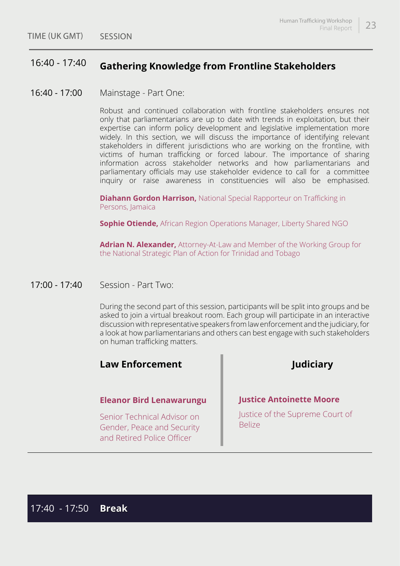#### 16:40 - 17:40 **Gathering Knowledge from Frontline Stakeholders**

 $16:40 - 17:00$ Mainstage - Part One:

> Robust and continued collaboration with frontline stakeholders ensures not only that parliamentarians are up to date with trends in exploitation, but their expertise can inform policy development and legislative implementation more widely. In this section, we will discuss the importance of identifying relevant stakeholders in different jurisdictions who are working on the frontline, with victims of human trafficking or forced labour. The importance of sharing information across stakeholder networks and how parliamentarians and parliamentary officials may use stakeholder evidence to call for a committee inquiry or raise awareness in constituencies will also be emphasised.

**Diahann Gordon Harrison,** National Special Rapporteur on Trafficking in Persons, Jamaica

**Sophie Otiende,** African Region Operations Manager, Liberty Shared NGO

**Adrian N. Alexander,** Attorney-At-Law and Member of the Working Group for the National Strategic Plan of Action for Trinidad and Tobago

17:00 - 17:40 Session - Part Two:

> During the second part of this session, participants will be split into groups and be asked to join a virtual breakout room. Each group will participate in an interactive discussion with representative speakers from law enforcement and the judiciary, for a look at how parliamentarians and others can best engage with such stakeholders on human trafficking matters.

#### **Law Enforcement Judiciary**

#### **Eleanor Bird Lenawarungu**

Senior Technical Advisor on Gender, Peace and Security and Retired Police Officer

#### **Justice Antoinette Moore**

Justice of the Supreme Court of Belize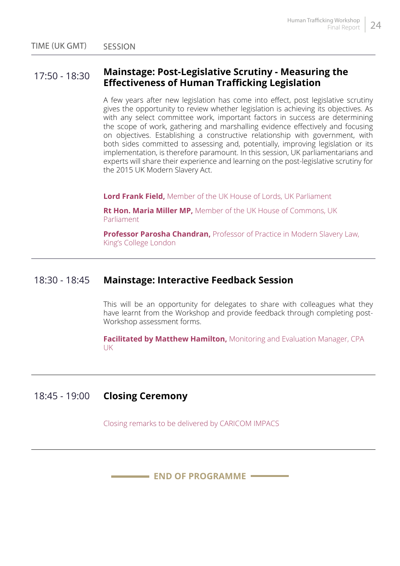#### 17:50 - 18:30 **Mainstage: Post-Legislative Scrutiny - Measuring the Effectiveness of Human Trafficking Legislation**

A few years after new legislation has come into effect, post legislative scrutiny gives the opportunity to review whether legislation is achieving its objectives. As with any select committee work, important factors in success are determining the scope of work, gathering and marshalling evidence effectively and focusing on objectives. Establishing a constructive relationship with government, with both sides committed to assessing and, potentially, improving legislation or its implementation, is therefore paramount. In this session, UK parliamentarians and experts will share their experience and learning on the post-legislative scrutiny for the 2015 UK Modern Slavery Act.

**Lord Frank Field,** Member of the UK House of Lords, UK Parliament

**Rt Hon. Maria Miller MP,** Member of the UK House of Commons, UK Parliament

**Professor Parosha Chandran,** Professor of Practice in Modern Slavery Law, King's College London

#### 18:30 - 18:45 **Mainstage: Interactive Feedback Session**

This will be an opportunity for delegates to share with colleagues what they have learnt from the Workshop and provide feedback through completing post-Workshop assessment forms.

**Facilitated by Matthew Hamilton,** Monitoring and Evaluation Manager, CPA UK

#### 18:45 - 19:00 **Closing Ceremony**

Closing remarks to be delivered by CARICOM IMPACS

**END OF PROGRAMME**